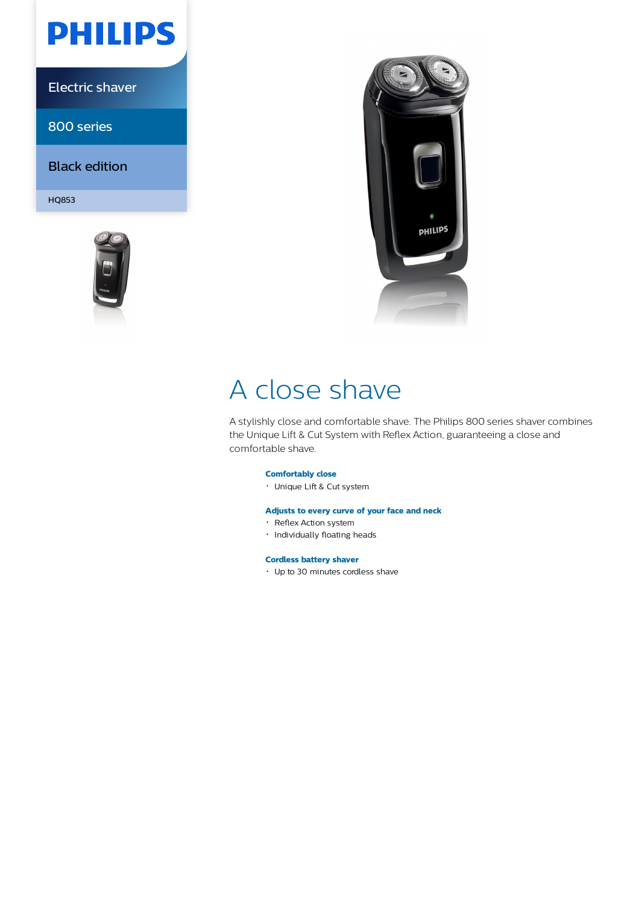

Electric shaver

800 series

Black edition

HQ853





# A close shave

A stylishly close and comfortable shave. The Philips 800 series shaver combines the Unique Lift & Cut System with Reflex Action, guaranteeing a close and comfortable shave.

# **Comfortably close**

Unique Lift & Cut system

# **Adjusts to every curve of your face and neck**

- Reflex Action system
- · Individually floating heads

# **Cordless battery shaver**

Up to 30 minutes cordless shave